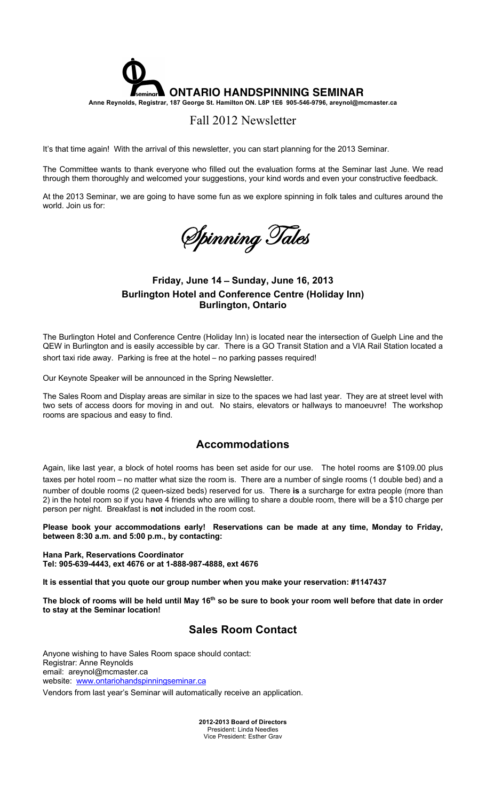

# Fall 2012 Newsletter

It's that time again! With the arrival of this newsletter, you can start planning for the 2013 Seminar.

The Committee wants to thank everyone who filled out the evaluation forms at the Seminar last June. We read through them thoroughly and welcomed your suggestions, your kind words and even your constructive feedback.

At the 2013 Seminar, we are going to have some fun as we explore spinning in folk tales and cultures around the world. Join us for:

Spinning Tales

# **Friday, June 14** – **Sunday, June 16, 2013 Burlington Hotel and Conference Centre (Holiday Inn) Burlington, Ontario**

The Burlington Hotel and Conference Centre (Holiday Inn) is located near the intersection of Guelph Line and the QEW in Burlington and is easily accessible by car. There is a GO Transit Station and a VIA Rail Station located a short taxi ride away. Parking is free at the hotel – no parking passes required!

Our Keynote Speaker will be announced in the Spring Newsletter.

The Sales Room and Display areas are similar in size to the spaces we had last year. They are at street level with two sets of access doors for moving in and out. No stairs, elevators or hallways to manoeuvre! The workshop rooms are spacious and easy to find.

# **Accommodations**

Again, like last year, a block of hotel rooms has been set aside for our use. The hotel rooms are \$109.00 plus taxes per hotel room – no matter what size the room is. There are a number of single rooms (1 double bed) and a number of double rooms (2 queen-sized beds) reserved for us. There **is** a surcharge for extra people (more than 2) in the hotel room so if you have 4 friends who are willing to share a double room, there will be a \$10 charge per person per night. Breakfast is **not** included in the room cost.

**Please book your accommodations early! Reservations can be made at any time, Monday to Friday, between 8:30 a.m. and 5:00 p.m., by contacting:**

**Hana Park, Reservations Coordinator Tel: 905-639-4443, ext 4676 or at 1-888-987-4888, ext 4676**

**It is essential that you quote our group number when you make your reservation: #1147437** 

**The block of rooms will be held until May 16th so be sure to book your room well before that date in order to stay at the Seminar location!**

# **Sales Room Contact**

Anyone wishing to have Sales Room space should contact: Registrar: Anne Reynolds email: areynol@mcmaster.ca website: www.ontariohandspinningseminar.ca

Vendors from last year's Seminar will automatically receive an application.

**2012-2013 Board of Directors**  President: Linda Needles Vice President: Esther Grav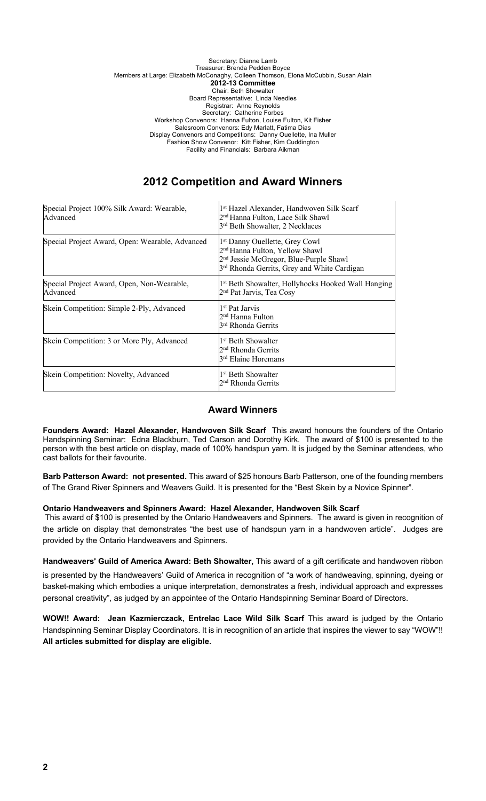#### Secretary: Dianne Lamb Treasurer: Brenda Pedden Boyce Members at Large: Elizabeth McConaghy, Colleen Thomson, Elona McCubbin, Susan Alain **2012-13 Committee** Chair: Beth Showalter Board Representative: Linda Needles Registrar: Anne Reynolds Secretary: Catherine Forbes Workshop Convenors: Hanna Fulton, Louise Fulton, Kit Fisher Salesroom Convenors: Edy Marlatt, Fatima Dias Display Convenors and Competitions: Danny Ouellette, Ina Muller Fashion Show Convenor: Kitt Fisher, Kim Cuddington Facility and Financials: Barbara Aikman

# **2012 Competition and Award Winners**

| Special Project 100% Silk Award: Wearable,<br>Advanced | <sup>1st</sup> Hazel Alexander, Handwoven Silk Scarf<br>2 <sup>nd</sup> Hanna Fulton, Lace Silk Shawl<br>3 <sup>rd</sup> Beth Showalter, 2 Necklaces                                                      |
|--------------------------------------------------------|-----------------------------------------------------------------------------------------------------------------------------------------------------------------------------------------------------------|
| Special Project Award, Open: Wearable, Advanced        | 1 <sup>st</sup> Danny Ouellette, Grey Cowl<br>2 <sup>nd</sup> Hanna Fulton, Yellow Shawl<br>2 <sup>nd</sup> Jessie McGregor, Blue-Purple Shawl<br>3 <sup>rd</sup> Rhonda Gerrits, Grey and White Cardigan |
| Special Project Award, Open, Non-Wearable,<br>Advanced | 1 <sup>st</sup> Beth Showalter, Hollyhocks Hooked Wall Hanging<br>2 <sup>nd</sup> Pat Jarvis, Tea Cosy                                                                                                    |
| Skein Competition: Simple 2-Ply, Advanced              | l <sup>1st</sup> Pat Jarvis<br>2 <sup>nd</sup> Hanna Fulton<br>3 <sup>rd</sup> Rhonda Gerrits                                                                                                             |
| Skein Competition: 3 or More Ply, Advanced             | l1 <sup>st</sup> Beth Showalter<br>2 <sup>nd</sup> Rhonda Gerrits<br>3 <sup>rd</sup> Elaine Horemans                                                                                                      |
| Skein Competition: Novelty, Advanced                   | 1 <sup>st</sup> Beth Showalter<br>2 <sup>nd</sup> Rhonda Gerrits                                                                                                                                          |

# **Award Winners**

**Founders Award: Hazel Alexander, Handwoven Silk Scarf** This award honours the founders of the Ontario Handspinning Seminar: Edna Blackburn, Ted Carson and Dorothy Kirk. The award of \$100 is presented to the person with the best article on display, made of 100% handspun yarn. It is judged by the Seminar attendees, who cast ballots for their favourite.

**Barb Patterson Award: not presented.** This award of \$25 honours Barb Patterson, one of the founding members of The Grand River Spinners and Weavers Guild. It is presented for the "Best Skein by a Novice Spinner".

# **Ontario Handweavers and Spinners Award: Hazel Alexander, Handwoven Silk Scarf**

This award of \$100 is presented by the Ontario Handweavers and Spinners. The award is given in recognition of the article on display that demonstrates "the best use of handspun yarn in a handwoven article". Judges are provided by the Ontario Handweavers and Spinners.

**Handweavers**' **Guild of America Award: Beth Showalter,** This award of a gift certificate and handwoven ribbon

is presented by the Handweavers' Guild of America in recognition of "a work of handweaving, spinning, dyeing or basket-making which embodies a unique interpretation, demonstrates a fresh, individual approach and expresses personal creativity", as judged by an appointee of the Ontario Handspinning Seminar Board of Directors.

**WOW!! Award: Jean Kazmierczack, Entrelac Lace Wild Silk Scarf** This award is judged by the Ontario Handspinning Seminar Display Coordinators. It is in recognition of an article that inspires the viewer to say "WOW"!! **All articles submitted for display are eligible.**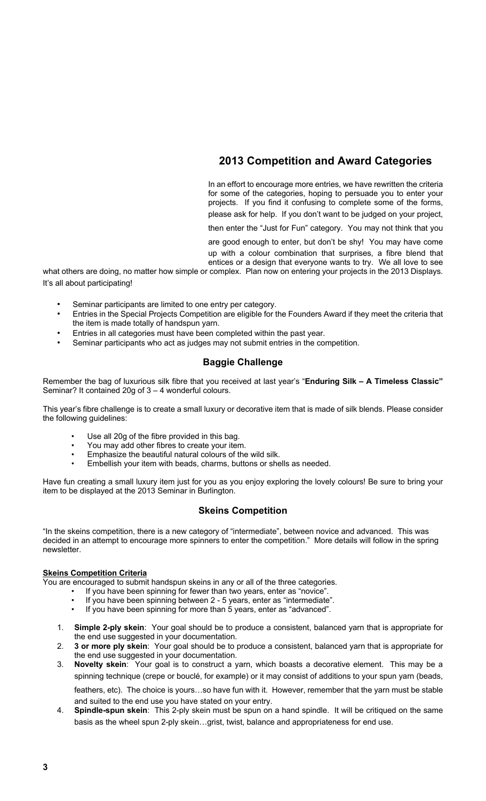# **2013 Competition and Award Categories**

In an effort to encourage more entries, we have rewritten the criteria for some of the categories, hoping to persuade you to enter your projects. If you find it confusing to complete some of the forms, please ask for help. If you don't want to be judged on your project,

then enter the "Just for Fun" category. You may not think that you

are good enough to enter, but don't be shy! You may have come up with a colour combination that surprises, a fibre blend that entices or a design that everyone wants to try. We all love to see

what others are doing, no matter how simple or complex. Plan now on entering your projects in the 2013 Displays. It's all about participating!

- Seminar participants are limited to one entry per category.
- Entries in the Special Projects Competition are eligible for the Founders Award if they meet the criteria that the item is made totally of handspun yarn.
- Entries in all categories must have been completed within the past year.
- Seminar participants who act as judges may not submit entries in the competition.

# **Baggie Challenge**

Remember the bag of luxurious silk fibre that you received at last year's "**Enduring Silk – A Timeless Classic"**  Seminar? It contained 20g of 3 – 4 wonderful colours.

This year's fibre challenge is to create a small luxury or decorative item that is made of silk blends. Please consider the following guidelines:

- Use all 20g of the fibre provided in this bag.
- You may add other fibres to create your item.
- Emphasize the beautiful natural colours of the wild silk.
- Embellish your item with beads, charms, buttons or shells as needed.

Have fun creating a small luxury item just for you as you enjoy exploring the lovely colours! Be sure to bring your item to be displayed at the 2013 Seminar in Burlington.

# **Skeins Competition**

"In the skeins competition, there is a new category of "intermediate", between novice and advanced. This was decided in an attempt to encourage more spinners to enter the competition." More details will follow in the spring newsletter.

## **Skeins Competition Criteria**

You are encouraged to submit handspun skeins in any or all of the three categories.

- If you have been spinning for fewer than two years, enter as "novice".
- If you have been spinning between 2 5 years, enter as "intermediate".
- If you have been spinning for more than 5 years, enter as "advanced".
- 1. **Simple 2-ply skein**: Your goal should be to produce a consistent, balanced yarn that is appropriate for the end use suggested in your documentation.
- 2. **3 or more ply skein**: Your goal should be to produce a consistent, balanced yarn that is appropriate for the end use suggested in your documentation.
- 3. **Novelty skein**: Your goal is to construct a yarn, which boasts a decorative element. This may be a spinning technique (crepe or bouclé, for example) or it may consist of additions to your spun yarn (beads, feathers, etc). The choice is yours…so have fun with it. However, remember that the yarn must be stable and suited to the end use you have stated on your entry.
- 4. **Spindle-spun skein**: This 2-ply skein must be spun on a hand spindle. It will be critiqued on the same basis as the wheel spun 2-ply skein…grist, twist, balance and appropriateness for end use.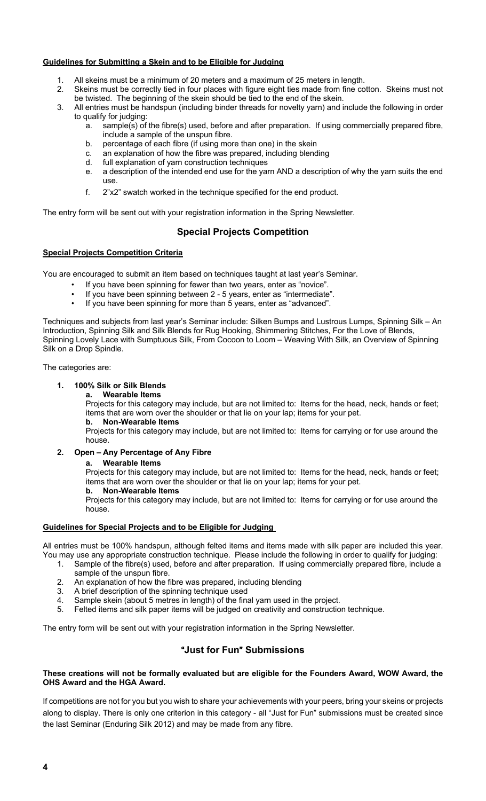## **Guidelines for Submitting a Skein and to be Eligible for Judging**

- All skeins must be a minimum of 20 meters and a maximum of 25 meters in length.
- 2. Skeins must be correctly tied in four places with figure eight ties made from fine cotton. Skeins must not be twisted. The beginning of the skein should be tied to the end of the skein.
- 3. All entries must be handspun (including binder threads for novelty yarn) and include the following in order to qualify for judging:
	- a. sample(s) of the fibre(s) used, before and after preparation. If using commercially prepared fibre, include a sample of the unspun fibre.
	- b. percentage of each fibre (if using more than one) in the skein
	- c. an explanation of how the fibre was prepared, including blending
	- d. full explanation of yarn construction techniques
	- e. a description of the intended end use for the yarn AND a description of why the yarn suits the end use.
	- f. 2"x2" swatch worked in the technique specified for the end product.

The entry form will be sent out with your registration information in the Spring Newsletter.

# **Special Projects Competition**

## **Special Projects Competition Criteria**

You are encouraged to submit an item based on techniques taught at last year's Seminar.

- If you have been spinning for fewer than two years, enter as "novice".
- If you have been spinning between 2 5 years, enter as "intermediate".
- If you have been spinning for more than 5 years, enter as "advanced".

Techniques and subjects from last year's Seminar include: Silken Bumps and Lustrous Lumps, Spinning Silk – An Introduction, Spinning Silk and Silk Blends for Rug Hooking, Shimmering Stitches, For the Love of Blends, Spinning Lovely Lace with Sumptuous Silk, From Cocoon to Loom – Weaving With Silk, an Overview of Spinning Silk on a Drop Spindle.

The categories are:

# **1. 100% Silk or Silk Blends**

**a. Wearable Items** 

Projects for this category may include, but are not limited to: Items for the head, neck, hands or feet; items that are worn over the shoulder or that lie on your lap; items for your pet.

**b. Non-Wearable Items** 

Projects for this category may include, but are not limited to: Items for carrying or for use around the house.

## **2. Open** – **Any Percentage of Any Fibre**

#### **a. Wearable Items**

Projects for this category may include, but are not limited to: Items for the head, neck, hands or feet; items that are worn over the shoulder or that lie on your lap; items for your pet.

**b. Non-Wearable Items** 

Projects for this category may include, but are not limited to: Items for carrying or for use around the house.

## **Guidelines for Special Projects and to be Eligible for Judging**

All entries must be 100% handspun, although felted items and items made with silk paper are included this year. You may use any appropriate construction technique. Please include the following in order to qualify for judging:

- 1. Sample of the fibre(s) used, before and after preparation. If using commercially prepared fibre, include a sample of the unspun fibre.
	- 2. An explanation of how the fibre was prepared, including blending
	- 3. A brief description of the spinning technique used
	- 4. Sample skein (about 5 metres in length) of the final yarn used in the project.
	- 5. Felted items and silk paper items will be judged on creativity and construction technique.

The entry form will be sent out with your registration information in the Spring Newsletter.

# "**Just for Fun**" **Submissions**

## **These creations will not be formally evaluated but are eligible for the Founders Award, WOW Award, the OHS Award and the HGA Award.**

If competitions are not for you but you wish to share your achievements with your peers, bring your skeins or projects along to display. There is only one criterion in this category - all "Just for Fun" submissions must be created since the last Seminar (Enduring Silk 2012) and may be made from any fibre.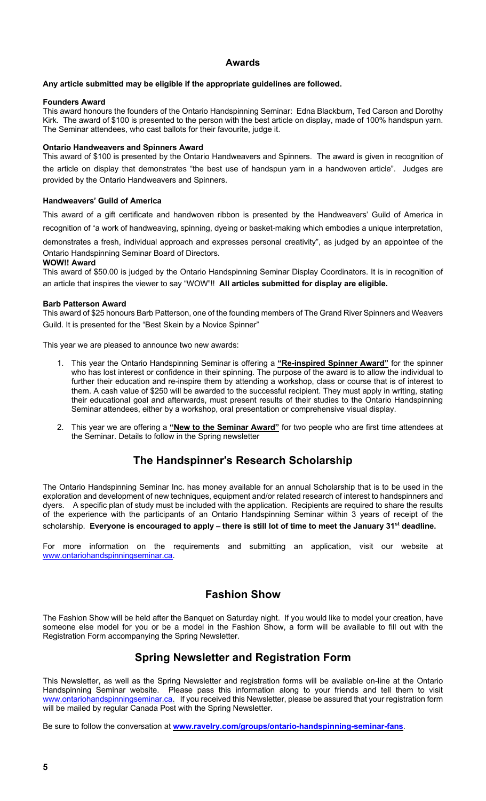## **Awards**

## **Any article submitted may be eligible if the appropriate guidelines are followed.**

### **Founders Award**

This award honours the founders of the Ontario Handspinning Seminar: Edna Blackburn, Ted Carson and Dorothy Kirk. The award of \$100 is presented to the person with the best article on display, made of 100% handspun yarn. The Seminar attendees, who cast ballots for their favourite, judge it.

## **Ontario Handweavers and Spinners Award**

This award of \$100 is presented by the Ontario Handweavers and Spinners. The award is given in recognition of the article on display that demonstrates "the best use of handspun yarn in a handwoven article". Judges are provided by the Ontario Handweavers and Spinners.

### **Handweavers**' **Guild of America**

This award of a gift certificate and handwoven ribbon is presented by the Handweavers' Guild of America in recognition of "a work of handweaving, spinning, dyeing or basket-making which embodies a unique interpretation,

demonstrates a fresh, individual approach and expresses personal creativity", as judged by an appointee of the Ontario Handspinning Seminar Board of Directors.

## **WOW!! Award**

This award of \$50.00 is judged by the Ontario Handspinning Seminar Display Coordinators. It is in recognition of an article that inspires the viewer to say "WOW"!! **All articles submitted for display are eligible.**

#### **Barb Patterson Award**

This award of \$25 honours Barb Patterson, one of the founding members of The Grand River Spinners and Weavers Guild. It is presented for the "Best Skein by a Novice Spinner"

This year we are pleased to announce two new awards:

- 1. This year the Ontario Handspinning Seminar is offering a **"Re-inspired Spinner Award"** for the spinner who has lost interest or confidence in their spinning. The purpose of the award is to allow the individual to further their education and re-inspire them by attending a workshop, class or course that is of interest to them. A cash value of \$250 will be awarded to the successful recipient. They must apply in writing, stating their educational goal and afterwards, must present results of their studies to the Ontario Handspinning Seminar attendees, either by a workshop, oral presentation or comprehensive visual display.
- 2. This year we are offering a **"New to the Seminar Award"** for two people who are first time attendees at the Seminar. Details to follow in the Spring newsletter

# **The Handspinner**'**s Research Scholarship**

The Ontario Handspinning Seminar Inc. has money available for an annual Scholarship that is to be used in the exploration and development of new techniques, equipment and/or related research of interest to handspinners and dyers. A specific plan of study must be included with the application. Recipients are required to share the results of the experience with the participants of an Ontario Handspinning Seminar within 3 years of receipt of the scholarship. **Everyone is encouraged to apply** – **there is still lot of time to meet the January 31st deadline.**

For more information on the requirements and submitting an application, visit our website at www.ontariohandspinningseminar.ca.

# **Fashion Show**

The Fashion Show will be held after the Banquet on Saturday night. If you would like to model your creation, have someone else model for you or be a model in the Fashion Show, a form will be available to fill out with the Registration Form accompanying the Spring Newsletter.

# **Spring Newsletter and Registration Form**

This Newsletter, as well as the Spring Newsletter and registration forms will be available on-line at the Ontario Handspinning Seminar website. Please pass this information along to your friends and tell them to visit www.ontariohandspinningseminar.ca. If you received this Newsletter, please be assured that your registration form will be mailed by regular Canada Post with the Spring Newsletter.

Be sure to follow the conversation at **www.ravelry.com/groups/ontario-handspinning-seminar-fans**.